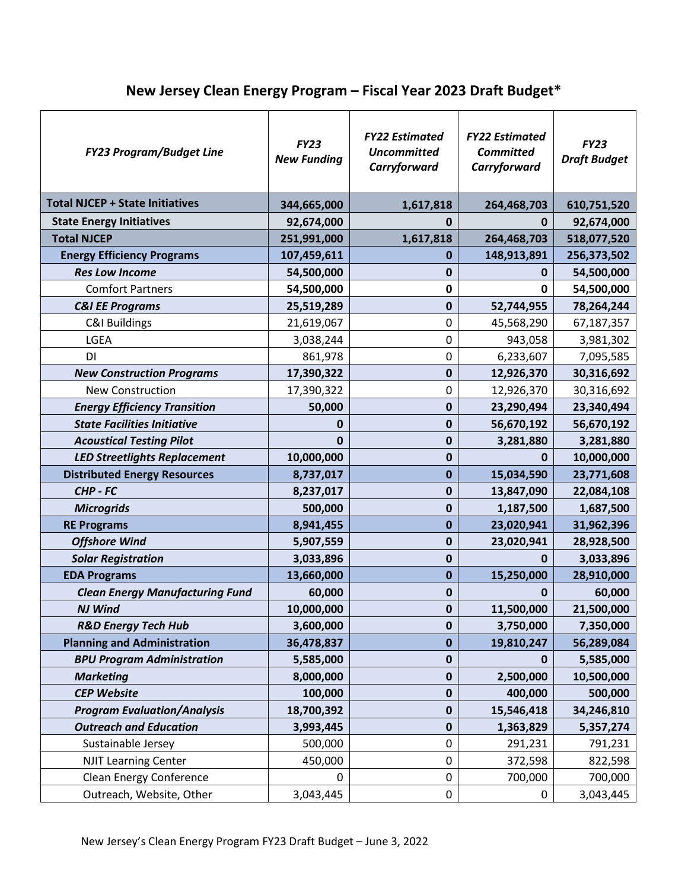## **New Jersey Clean Energy Program – Fiscal Year 2023 Draft Budget\***

| <b>FY23 Program/Budget Line</b>        | <b>FY23</b><br><b>New Funding</b> | <b>FY22 Estimated</b><br><b>Uncommitted</b><br>Carryforward | <b>FY22 Estimated</b><br><b>Committed</b><br>Carryforward | <b>FY23</b><br><b>Draft Budget</b> |
|----------------------------------------|-----------------------------------|-------------------------------------------------------------|-----------------------------------------------------------|------------------------------------|
| <b>Total NJCEP + State Initiatives</b> | 344,665,000                       | 1,617,818                                                   | 264,468,703                                               | 610,751,520                        |
| <b>State Energy Initiatives</b>        | 92,674,000                        | 0                                                           | 0                                                         | 92,674,000                         |
| <b>Total NJCEP</b>                     | 251,991,000                       | 1,617,818                                                   | 264,468,703                                               | 518,077,520                        |
| <b>Energy Efficiency Programs</b>      | 107,459,611                       | $\mathbf 0$                                                 | 148,913,891                                               | 256,373,502                        |
| <b>Res Low Income</b>                  | 54,500,000                        | $\mathbf 0$                                                 | $\mathbf 0$                                               | 54,500,000                         |
| <b>Comfort Partners</b>                | 54,500,000                        | $\mathbf 0$                                                 | 0                                                         | 54,500,000                         |
| <b>C&amp;I EE Programs</b>             | 25,519,289                        | $\pmb{0}$                                                   | 52,744,955                                                | 78,264,244                         |
| <b>C&amp;I Buildings</b>               | 21,619,067                        | 0                                                           | 45,568,290                                                | 67,187,357                         |
| LGEA                                   | 3,038,244                         | 0                                                           | 943,058                                                   | 3,981,302                          |
| DI                                     | 861,978                           | 0                                                           | 6,233,607                                                 | 7,095,585                          |
| <b>New Construction Programs</b>       | 17,390,322                        | $\pmb{0}$                                                   | 12,926,370                                                | 30,316,692                         |
| <b>New Construction</b>                | 17,390,322                        | $\mathbf 0$                                                 | 12,926,370                                                | 30,316,692                         |
| <b>Energy Efficiency Transition</b>    | 50,000                            | $\pmb{0}$                                                   | 23,290,494                                                | 23,340,494                         |
| <b>State Facilities Initiative</b>     | 0                                 | $\mathbf 0$                                                 | 56,670,192                                                | 56,670,192                         |
| <b>Acoustical Testing Pilot</b>        | 0                                 | $\pmb{0}$                                                   | 3,281,880                                                 | 3,281,880                          |
| <b>LED Streetlights Replacement</b>    | 10,000,000                        | $\mathbf 0$                                                 | $\mathbf 0$                                               | 10,000,000                         |
| <b>Distributed Energy Resources</b>    | 8,737,017                         | $\mathbf 0$                                                 | 15,034,590                                                | 23,771,608                         |
| CHP - FC                               | 8,237,017                         | $\mathbf 0$                                                 | 13,847,090                                                | 22,084,108                         |
| <b>Microgrids</b>                      | 500,000                           | $\pmb{0}$                                                   | 1,187,500                                                 | 1,687,500                          |
| <b>RE Programs</b>                     | 8,941,455                         | $\mathbf 0$                                                 | 23,020,941                                                | 31,962,396                         |
| <b>Offshore Wind</b>                   | 5,907,559                         | $\mathbf 0$                                                 | 23,020,941                                                | 28,928,500                         |
| <b>Solar Registration</b>              | 3,033,896                         | $\mathbf 0$                                                 | 0                                                         | 3,033,896                          |
| <b>EDA Programs</b>                    | 13,660,000                        | $\mathbf 0$                                                 | 15,250,000                                                | 28,910,000                         |
| <b>Clean Energy Manufacturing Fund</b> | 60,000                            | $\mathbf 0$                                                 | 0                                                         | 60,000                             |
| <b>NJ Wind</b>                         | 10,000,000                        | $\mathbf{0}$                                                | 11,500,000                                                | 21,500,000                         |
| <b>R&amp;D Energy Tech Hub</b>         | 3,600,000                         | $\mathbf 0$                                                 | 3,750,000                                                 | 7,350,000                          |
| <b>Planning and Administration</b>     | 36,478,837                        | $\bf{0}$                                                    | 19,810,247                                                | 56,289,084                         |
| <b>BPU Program Administration</b>      | 5,585,000                         | $\mathbf 0$                                                 | $\mathbf 0$                                               | 5,585,000                          |
| <b>Marketing</b>                       | 8,000,000                         | $\pmb{0}$                                                   | 2,500,000                                                 | 10,500,000                         |
| <b>CEP Website</b>                     | 100,000                           | $\mathbf 0$                                                 | 400,000                                                   | 500,000                            |
| <b>Program Evaluation/Analysis</b>     | 18,700,392                        | $\pmb{0}$                                                   | 15,546,418                                                | 34,246,810                         |
| <b>Outreach and Education</b>          | 3,993,445                         | $\mathbf 0$                                                 | 1,363,829                                                 | 5,357,274                          |
| Sustainable Jersey                     | 500,000                           | 0                                                           | 291,231                                                   | 791,231                            |
| <b>NJIT Learning Center</b>            | 450,000                           | $\mathbf 0$                                                 | 372,598                                                   | 822,598                            |
| <b>Clean Energy Conference</b>         | 0                                 | 0                                                           | 700,000                                                   | 700,000                            |
| Outreach, Website, Other               | 3,043,445                         | 0                                                           | 0                                                         | 3,043,445                          |